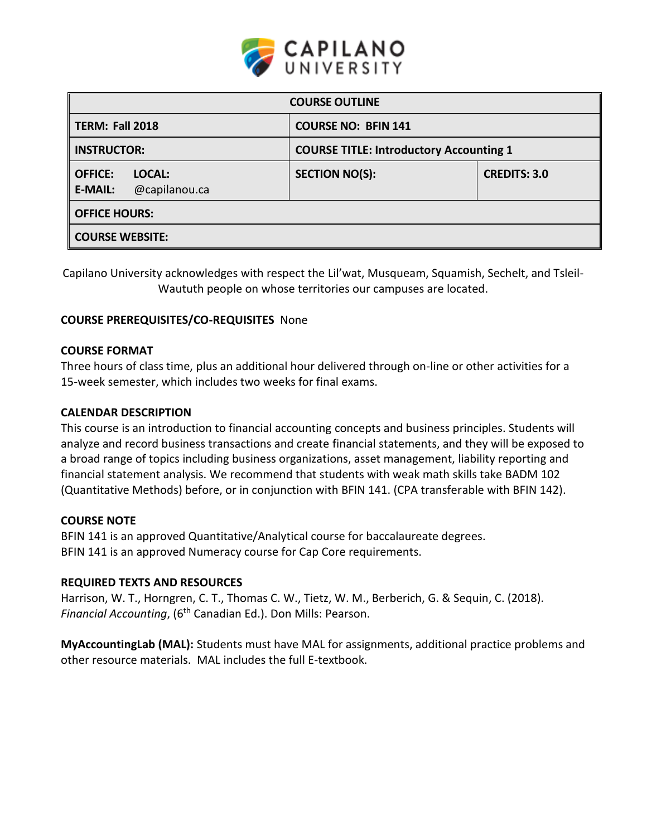

| <b>COURSE OUTLINE</b>                                                |                       |                     |  |
|----------------------------------------------------------------------|-----------------------|---------------------|--|
| <b>TERM: Fall 2018</b><br><b>COURSE NO: BFIN 141</b>                 |                       |                     |  |
| <b>INSTRUCTOR:</b><br><b>COURSE TITLE: Introductory Accounting 1</b> |                       |                     |  |
| <b>OFFICE:</b><br>LOCAL:<br>@capilanou.ca<br><b>E-MAIL:</b>          | <b>SECTION NO(S):</b> | <b>CREDITS: 3.0</b> |  |
| <b>OFFICE HOURS:</b>                                                 |                       |                     |  |
| <b>COURSE WEBSITE:</b>                                               |                       |                     |  |

Capilano University acknowledges with respect the Lil'wat, Musqueam, Squamish, Sechelt, and Tsleil-Waututh people on whose territories our campuses are located.

## **COURSE PREREQUISITES/CO-REQUISITES** None

### **COURSE FORMAT**

Three hours of class time, plus an additional hour delivered through on-line or other activities for a 15-week semester, which includes two weeks for final exams.

### **CALENDAR DESCRIPTION**

This course is an introduction to financial accounting concepts and business principles. Students will analyze and record business transactions and create financial statements, and they will be exposed to a broad range of topics including business organizations, asset management, liability reporting and financial statement analysis. We recommend that students with weak math skills take BADM 102 (Quantitative Methods) before, or in conjunction with BFIN 141. (CPA transferable with BFIN 142).

### **COURSE NOTE**

BFIN 141 is an approved Quantitative/Analytical course for baccalaureate degrees. BFIN 141 is an approved Numeracy course for Cap Core requirements.

### **REQUIRED TEXTS AND RESOURCES**

Harrison, W. T., Horngren, C. T., Thomas C. W., Tietz, W. M., Berberich, G. & Sequin, C. (2018). *Financial Accounting*, (6th Canadian Ed.). Don Mills: Pearson.

**MyAccountingLab (MAL):** Students must have MAL for assignments, additional practice problems and other resource materials. MAL includes the full E-textbook.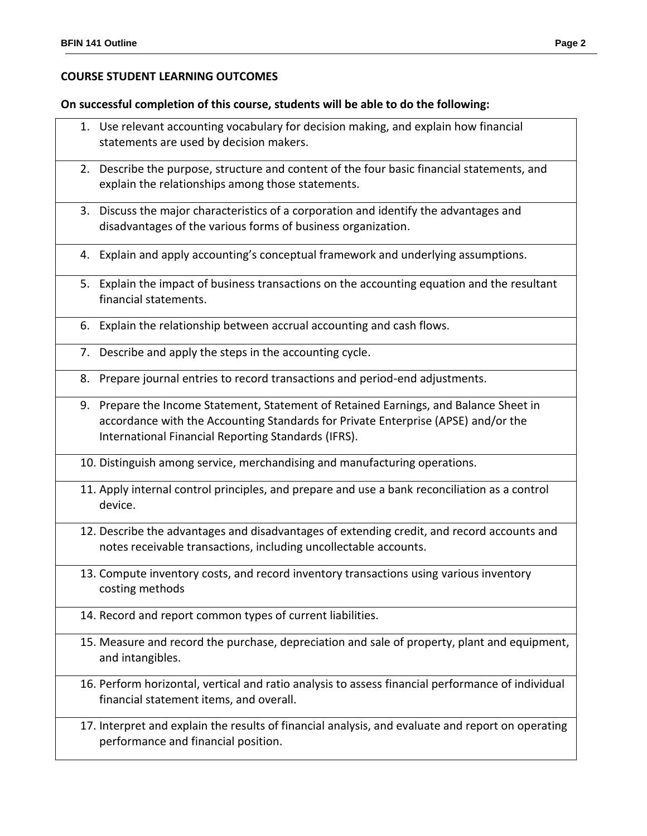# **COURSE STUDENT LEARNING OUTCOMES**

## **On successful completion of this course, students will be able to do the following:**

|    | 1. Use relevant accounting vocabulary for decision making, and explain how financial<br>statements are used by decision makers.                                                                                                   |
|----|-----------------------------------------------------------------------------------------------------------------------------------------------------------------------------------------------------------------------------------|
|    | 2. Describe the purpose, structure and content of the four basic financial statements, and<br>explain the relationships among those statements.                                                                                   |
|    | 3. Discuss the major characteristics of a corporation and identify the advantages and<br>disadvantages of the various forms of business organization.                                                                             |
|    | 4. Explain and apply accounting's conceptual framework and underlying assumptions.                                                                                                                                                |
|    | 5. Explain the impact of business transactions on the accounting equation and the resultant<br>financial statements.                                                                                                              |
|    | 6. Explain the relationship between accrual accounting and cash flows.                                                                                                                                                            |
|    | 7. Describe and apply the steps in the accounting cycle.                                                                                                                                                                          |
| 8. | Prepare journal entries to record transactions and period-end adjustments.                                                                                                                                                        |
|    | 9. Prepare the Income Statement, Statement of Retained Earnings, and Balance Sheet in<br>accordance with the Accounting Standards for Private Enterprise (APSE) and/or the<br>International Financial Reporting Standards (IFRS). |
|    | 10. Distinguish among service, merchandising and manufacturing operations.                                                                                                                                                        |
|    | 11. Apply internal control principles, and prepare and use a bank reconciliation as a control<br>device.                                                                                                                          |
|    | 12. Describe the advantages and disadvantages of extending credit, and record accounts and<br>notes receivable transactions, including uncollectable accounts.                                                                    |
|    | 13. Compute inventory costs, and record inventory transactions using various inventory<br>costing methods                                                                                                                         |
|    | 14. Record and report common types of current liabilities.                                                                                                                                                                        |
|    | 15. Measure and record the purchase, depreciation and sale of property, plant and equipment,<br>and intangibles.                                                                                                                  |

16. Perform horizontal, vertical and ratio analysis to assess financial performance of individual financial statement items, and overall.

17. Interpret and explain the results of financial analysis, and evaluate and report on operating performance and financial position.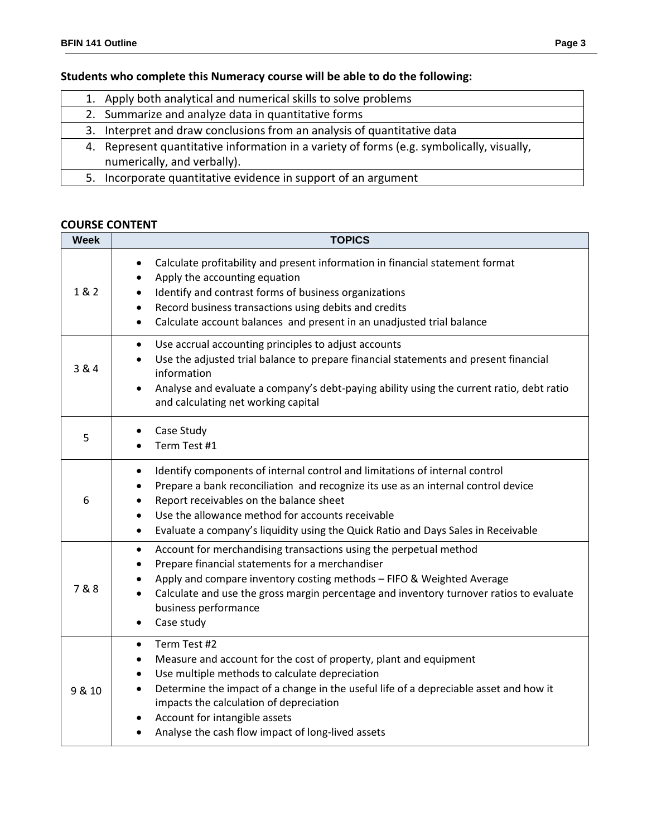# **Students who complete this Numeracy course will be able to do the following:**

|    | 1. Apply both analytical and numerical skills to solve problems                           |
|----|-------------------------------------------------------------------------------------------|
|    | 2. Summarize and analyze data in quantitative forms                                       |
|    | 3. Interpret and draw conclusions from an analysis of quantitative data                   |
|    | 4. Represent quantitative information in a variety of forms (e.g. symbolically, visually, |
|    | numerically, and verbally).                                                               |
| 5. | Incorporate quantitative evidence in support of an argument                               |
|    |                                                                                           |

# **COURSE CONTENT**

| <b>Week</b> | <b>TOPICS</b>                                                                                                                                                                                                                                                                                                                                                                                                          |  |  |
|-------------|------------------------------------------------------------------------------------------------------------------------------------------------------------------------------------------------------------------------------------------------------------------------------------------------------------------------------------------------------------------------------------------------------------------------|--|--|
| 1 & 2       | Calculate profitability and present information in financial statement format<br>$\bullet$<br>Apply the accounting equation<br>$\bullet$<br>Identify and contrast forms of business organizations<br>$\bullet$<br>Record business transactions using debits and credits<br>$\bullet$<br>Calculate account balances and present in an unadjusted trial balance<br>$\bullet$                                             |  |  |
| 3 & 4       | Use accrual accounting principles to adjust accounts<br>$\bullet$<br>Use the adjusted trial balance to prepare financial statements and present financial<br>$\bullet$<br>information<br>Analyse and evaluate a company's debt-paying ability using the current ratio, debt ratio<br>$\bullet$<br>and calculating net working capital                                                                                  |  |  |
| 5           | Case Study<br>$\bullet$<br>Term Test #1                                                                                                                                                                                                                                                                                                                                                                                |  |  |
| 6           | Identify components of internal control and limitations of internal control<br>٠<br>Prepare a bank reconciliation and recognize its use as an internal control device<br>Report receivables on the balance sheet<br>$\bullet$<br>Use the allowance method for accounts receivable<br>$\bullet$<br>Evaluate a company's liquidity using the Quick Ratio and Days Sales in Receivable<br>$\bullet$                       |  |  |
| 7&8         | Account for merchandising transactions using the perpetual method<br>$\bullet$<br>Prepare financial statements for a merchandiser<br>٠<br>Apply and compare inventory costing methods - FIFO & Weighted Average<br>٠<br>Calculate and use the gross margin percentage and inventory turnover ratios to evaluate<br>$\bullet$<br>business performance<br>Case study<br>٠                                                |  |  |
| 9 & 10      | Term Test #2<br>$\bullet$<br>Measure and account for the cost of property, plant and equipment<br>Use multiple methods to calculate depreciation<br>$\bullet$<br>Determine the impact of a change in the useful life of a depreciable asset and how it<br>٠<br>impacts the calculation of depreciation<br>Account for intangible assets<br>$\bullet$<br>Analyse the cash flow impact of long-lived assets<br>$\bullet$ |  |  |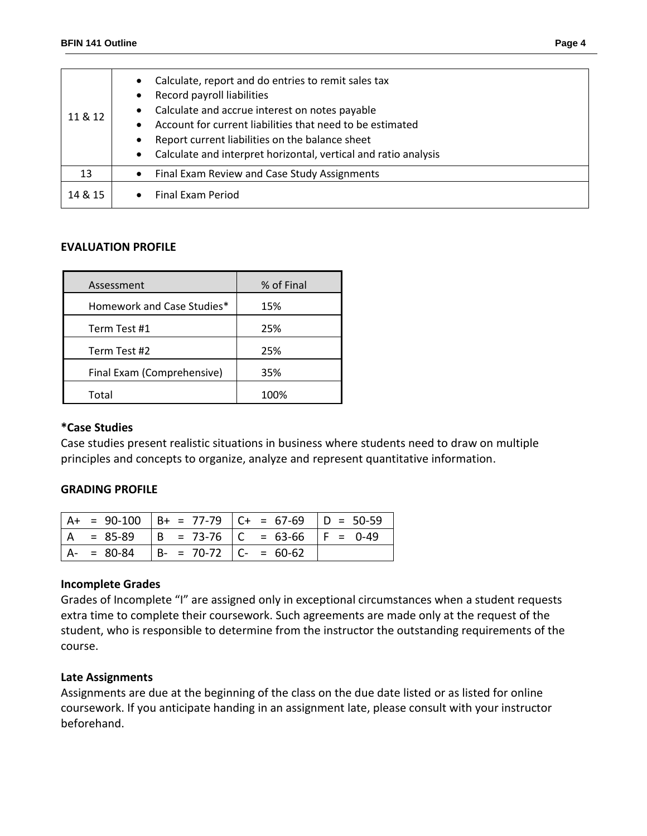| 11 & 12 | Calculate, report and do entries to remit sales tax<br>Record payroll liabilities<br>Calculate and accrue interest on notes payable<br>Account for current liabilities that need to be estimated<br>Report current liabilities on the balance sheet<br>$\bullet$<br>Calculate and interpret horizontal, vertical and ratio analysis<br>$\bullet$ |  |
|---------|--------------------------------------------------------------------------------------------------------------------------------------------------------------------------------------------------------------------------------------------------------------------------------------------------------------------------------------------------|--|
| 13      | Final Exam Review and Case Study Assignments<br>$\bullet$                                                                                                                                                                                                                                                                                        |  |
| 14 & 15 | <b>Final Fxam Period</b>                                                                                                                                                                                                                                                                                                                         |  |

## **EVALUATION PROFILE**

| Assessment                 | % of Final |
|----------------------------|------------|
| Homework and Case Studies* | 15%        |
| Term Test #1               | 25%        |
| Term Test #2               | 25%        |
| Final Exam (Comprehensive) | 35%        |
| Total                      | 100%       |

### **\*Case Studies**

Case studies present realistic situations in business where students need to draw on multiple principles and concepts to organize, analyze and represent quantitative information.

### **GRADING PROFILE**

|     |                                      | $A+ = 90-100$ $B+ = 77-79$ $C+ = 67-69$ $D = 50-59$ |  |
|-----|--------------------------------------|-----------------------------------------------------|--|
| l A |                                      | - 85-89  Β = 73-76  C = 63-66  F = 0-49             |  |
|     | A- = 80-84   B- = 70-72   C- = 60-62 |                                                     |  |

#### **Incomplete Grades**

Grades of Incomplete "I" are assigned only in exceptional circumstances when a student requests extra time to complete their coursework. Such agreements are made only at the request of the student, who is responsible to determine from the instructor the outstanding requirements of the course.

#### **Late Assignments**

Assignments are due at the beginning of the class on the due date listed or as listed for online coursework. If you anticipate handing in an assignment late, please consult with your instructor beforehand.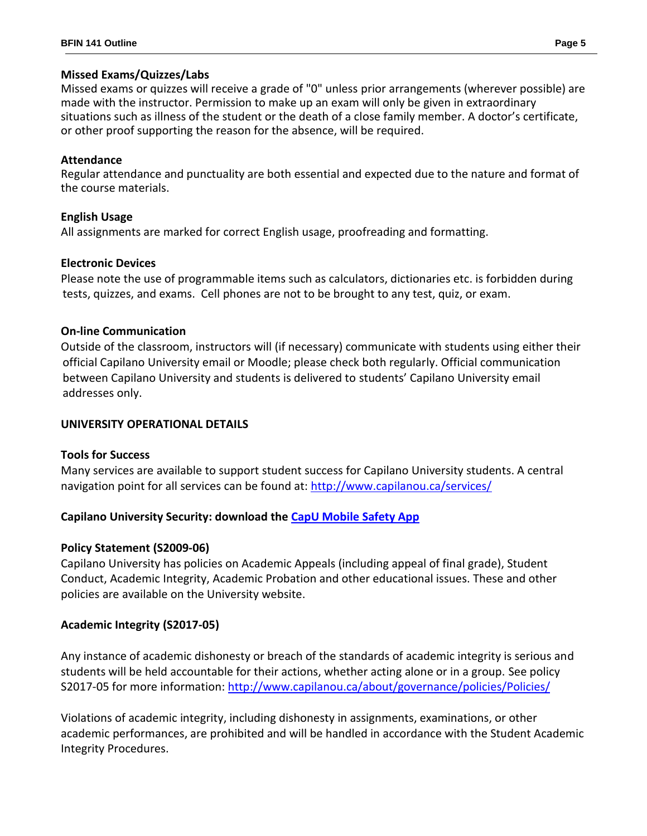## **Missed Exams/Quizzes/Labs**

Missed exams or quizzes will receive a grade of "0" unless prior arrangements (wherever possible) are made with the instructor. Permission to make up an exam will only be given in extraordinary situations such as illness of the student or the death of a close family member. A doctor's certificate, or other proof supporting the reason for the absence, will be required.

## **Attendance**

Regular attendance and punctuality are both essential and expected due to the nature and format of the course materials.

# **English Usage**

All assignments are marked for correct English usage, proofreading and formatting.

# **Electronic Devices**

Please note the use of programmable items such as calculators, dictionaries etc. is forbidden during tests, quizzes, and exams. Cell phones are not to be brought to any test, quiz, or exam.

# **On-line Communication**

Outside of the classroom, instructors will (if necessary) communicate with students using either their official Capilano University email or Moodle; please check both regularly. Official communication between Capilano University and students is delivered to students' Capilano University email addresses only.

# **UNIVERSITY OPERATIONAL DETAILS**

# **Tools for Success**

Many services are available to support student success for Capilano University students. A central navigation point for all services can be found at:<http://www.capilanou.ca/services/>

# **Capilano University Security: download the [CapU Mobile Safety App](https://www.capilanou.ca/services/safety-security/CapU-Mobile-Safety-App/)**

# **Policy Statement (S2009-06)**

Capilano University has policies on Academic Appeals (including appeal of final grade), Student Conduct, Academic Integrity, Academic Probation and other educational issues. These and other policies are available on the University website.

# **Academic Integrity (S2017-05)**

Any instance of academic dishonesty or breach of the standards of academic integrity is serious and students will be held accountable for their actions, whether acting alone or in a group. See policy S2017-05 for more information: <http://www.capilanou.ca/about/governance/policies/Policies/>

Violations of academic integrity, including dishonesty in assignments, examinations, or other academic performances, are prohibited and will be handled in accordance with the Student Academic Integrity Procedures.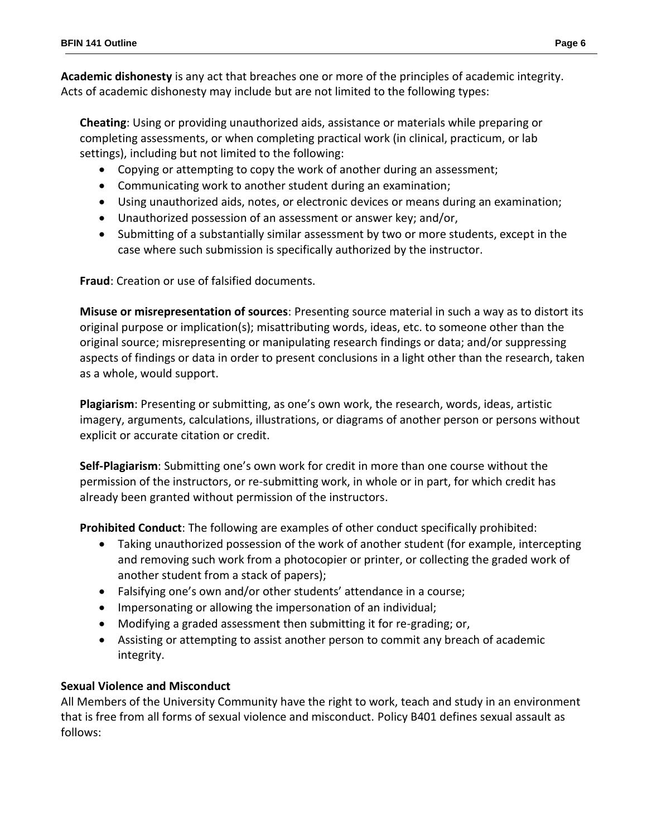**Academic dishonesty** is any act that breaches one or more of the principles of academic integrity. Acts of academic dishonesty may include but are not limited to the following types:

**Cheating**: Using or providing unauthorized aids, assistance or materials while preparing or completing assessments, or when completing practical work (in clinical, practicum, or lab settings), including but not limited to the following:

- Copying or attempting to copy the work of another during an assessment;
- Communicating work to another student during an examination;
- Using unauthorized aids, notes, or electronic devices or means during an examination;
- Unauthorized possession of an assessment or answer key; and/or,
- Submitting of a substantially similar assessment by two or more students, except in the case where such submission is specifically authorized by the instructor.

**Fraud**: Creation or use of falsified documents.

**Misuse or misrepresentation of sources**: Presenting source material in such a way as to distort its original purpose or implication(s); misattributing words, ideas, etc. to someone other than the original source; misrepresenting or manipulating research findings or data; and/or suppressing aspects of findings or data in order to present conclusions in a light other than the research, taken as a whole, would support.

**Plagiarism**: Presenting or submitting, as one's own work, the research, words, ideas, artistic imagery, arguments, calculations, illustrations, or diagrams of another person or persons without explicit or accurate citation or credit.

**Self-Plagiarism**: Submitting one's own work for credit in more than one course without the permission of the instructors, or re-submitting work, in whole or in part, for which credit has already been granted without permission of the instructors.

**Prohibited Conduct**: The following are examples of other conduct specifically prohibited:

- Taking unauthorized possession of the work of another student (for example, intercepting and removing such work from a photocopier or printer, or collecting the graded work of another student from a stack of papers);
- Falsifying one's own and/or other students' attendance in a course;
- Impersonating or allowing the impersonation of an individual;
- Modifying a graded assessment then submitting it for re-grading; or,
- Assisting or attempting to assist another person to commit any breach of academic integrity.

# **Sexual Violence and Misconduct**

All Members of the University Community have the right to work, teach and study in an environment that is free from all forms of sexual violence and misconduct. Policy B401 defines sexual assault as follows: